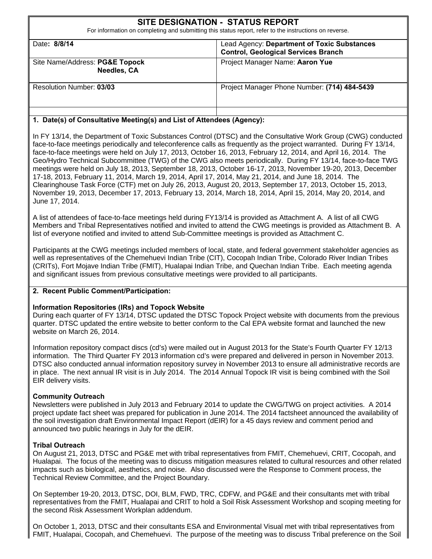| SITE DESIGNATION - STATUS REPORT<br>For information on completing and submitting this status report, refer to the instructions on reverse. |                                                                                           |  |  |
|--------------------------------------------------------------------------------------------------------------------------------------------|-------------------------------------------------------------------------------------------|--|--|
| Date: 8/8/14                                                                                                                               | Lead Agency: Department of Toxic Substances<br><b>Control, Geological Services Branch</b> |  |  |
| Site Name/Address: PG&E Topock<br><b>Needles, CA</b>                                                                                       | Project Manager Name: Aaron Yue                                                           |  |  |
| Resolution Number: 03/03                                                                                                                   | Project Manager Phone Number: (714) 484-5439                                              |  |  |
| .                                                                                                                                          |                                                                                           |  |  |

#### **1. Date(s) of Consultative Meeting(s) and List of Attendees (Agency):**

In FY 13/14, the Department of Toxic Substances Control (DTSC) and the Consultative Work Group (CWG) conducted face-to-face meetings periodically and teleconference calls as frequently as the project warranted. During FY 13/14, face-to-face meetings were held on July 17, 2013, October 16, 2013, February 12, 2014, and April 16, 2014. The Geo/Hydro Technical Subcommittee (TWG) of the CWG also meets periodically. During FY 13/14, face-to-face TWG meetings were held on July 18, 2013, September 18, 2013, October 16-17, 2013, November 19-20, 2013, December 17-18, 2013, February 11, 2014, March 19, 2014, April 17, 2014, May 21, 2014, and June 18, 2014. The Clearinghouse Task Force (CTF) met on July 26, 2013, August 20, 2013, September 17, 2013, October 15, 2013, November 19, 2013, December 17, 2013, February 13, 2014, March 18, 2014, April 15, 2014, May 20, 2014, and June 17, 2014.

A list of attendees of face-to-face meetings held during FY13/14 is provided as Attachment A. A list of all CWG Members and Tribal Representatives notified and invited to attend the CWG meetings is provided as Attachment B. A list of everyone notified and invited to attend Sub-Committee meetings is provided as Attachment C.

Participants at the CWG meetings included members of local, state, and federal government stakeholder agencies as well as representatives of the Chemehuevi Indian Tribe (CIT), Cocopah Indian Tribe, Colorado River Indian Tribes (CRITs), Fort Mojave Indian Tribe (FMIT), Hualapai Indian Tribe, and Quechan Indian Tribe. Each meeting agenda and significant issues from previous consultative meetings were provided to all participants.

#### **2. Recent Public Comment/Participation:**

#### **Information Repositories (IRs) and Topock Website**

website on March 26, 2014. During each quarter of FY 13/14, DTSC updated the DTSC Topock Project website with documents from the previous quarter. DTSC updated the entire website to better conform to the Cal EPA website format and launched the new

Information repository compact discs (cd's) were mailed out in August 2013 for the State's Fourth Quarter FY 12/13 information. The Third Quarter FY 2013 information cd's were prepared and delivered in person in November 2013. DTSC also conducted annual information repository survey in November 2013 to ensure all administrative records are in place. The next annual IR visit is in July 2014. The 2014 Annual Topock IR visit is being combined with the Soil EIR delivery visits.

#### **Community Outreach**

Newsletters were published in July 2013 and February 2014 to update the CWG/TWG on project activities. A 2014 project update fact sheet was prepared for publication in June 2014. The 2014 factsheet announced the availability of the soil investigation draft Environmental Impact Report (dEIR) for a 45 days review and comment period and announced two public hearings in July for the dEIR.

#### **Tribal Outreach**

On August 21, 2013, DTSC and PG&E met with tribal representatives from FMIT, Chemehuevi, CRIT, Cocopah, and Hualapai. The focus of the meeting was to discuss mitigation measures related to cultural resources and other related impacts such as biological, aesthetics, and noise. Also discussed were the Response to Comment process, the Technical Review Committee, and the Project Boundary.

On September 19-20, 2013, DTSC, DOI, BLM, FWD, TRC, CDFW, and PG&E and their consultants met with tribal representatives from the FMIT, Hualapai and CRIT to hold a Soil Risk Assessment Workshop and scoping meeting for the second Risk Assessment Workplan addendum.

On October 1, 2013, DTSC and their consultants ESA and Environmental Visual met with tribal representatives from FMIT, Hualapai, Cocopah, and Chemehuevi. The purpose of the meeting was to discuss Tribal preference on the Soil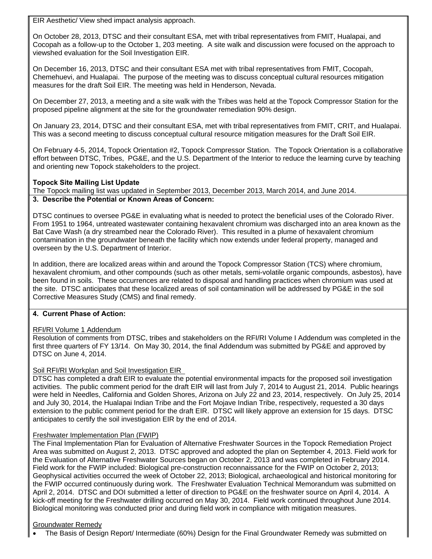EIR Aesthetic/ View shed impact analysis approach.

On October 28, 2013, DTSC and their consultant ESA, met with tribal representatives from FMIT, Hualapai, and Cocopah as a follow-up to the October 1, 203 meeting. A site walk and discussion were focused on the approach to viewshed evaluation for the Soil Investigation EIR.

On December 16, 2013, DTSC and their consultant ESA met with tribal representatives from FMIT, Cocopah, Chemehuevi, and Hualapai. The purpose of the meeting was to discuss conceptual cultural resources mitigation measures for the draft Soil EIR. The meeting was held in Henderson, Nevada.

On December 27, 2013, a meeting and a site walk with the Tribes was held at the Topock Compressor Station for the proposed pipeline alignment at the site for the groundwater remediation 90% design.

On January 23, 2014, DTSC and their consultant ESA, met with tribal representatives from FMIT, CRIT, and Hualapai. This was a second meeting to discuss conceptual cultural resource mitigation measures for the Draft Soil EIR.

On February 4-5, 2014, Topock Orientation #2, Topock Compressor Station. The Topock Orientation is a collaborative effort between DTSC, Tribes, PG&E, and the U.S. Department of the Interior to reduce the learning curve by teaching and orienting new Topock stakeholders to the project.

#### **Topock Site Mailing List Update**

The Topock mailing list was updated in September 2013, December 2013, March 2014, and June 2014. **3. Describe the Potential or Known Areas of Concern:** 

DTSC continues to oversee PG&E in evaluating what is needed to protect the beneficial uses of the Colorado River. From 1951 to 1964, untreated wastewater containing hexavalent chromium was discharged into an area known as the Bat Cave Wash (a dry streambed near the Colorado River). This resulted in a plume of hexavalent chromium contamination in the groundwater beneath the facility which now extends under federal property, managed and overseen by the U.S. Department of Interior.

In addition, there are localized areas within and around the Topock Compressor Station (TCS) where chromium, hexavalent chromium, and other compounds (such as other metals, semi-volatile organic compounds, asbestos), have been found in soils. These occurrences are related to disposal and handling practices when chromium was used at the site. DTSC anticipates that these localized areas of soil contamination will be addressed by PG&E in the soil Corrective Measures Study (CMS) and final remedy.

#### **4. Current Phase of Action:**

#### RFI/RI Volume 1 Addendum

Resolution of comments from DTSC, tribes and stakeholders on the RFI/RI Volume I Addendum was completed in the first three quarters of FY 13/14. On May 30, 2014, the final Addendum was submitted by PG&E and approved by DTSC on June 4, 2014.

#### Soil RFI/RI Workplan and Soil Investigation EIR

DTSC has completed a draft EIR to evaluate the potential environmental impacts for the proposed soil investigation activities. The public comment period for the draft EIR will last from July 7, 2014 to August 21, 2014. Public hearings were held in Needles, California and Golden Shores, Arizona on July 22 and 23, 2014, respectively. On July 25, 2014 and July 30, 2014, the Hualapai Indian Tribe and the Fort Mojave Indian Tribe, respectively, requested a 30 days extension to the public comment period for the draft EIR. DTSC will likely approve an extension for 15 days. DTSC anticipates to certify the soil investigation EIR by the end of 2014.

#### Freshwater Implementation Plan (FWIP)

The Final Implementation Plan for Evaluation of Alternative Freshwater Sources in the Topock Remediation Project Area was submitted on August 2, 2013. DTSC approved and adopted the plan on September 4, 2013. Field work for the Evaluation of Alternative Freshwater Sources began on October 2, 2013 and was completed in February 2014. Field work for the FWIP included: Biological pre-construction reconnaissance for the FWIP on October 2, 2013; Geophysical activities occurred the week of October 22, 2013; Biological, archaeological and historical monitoring for the FWIP occurred continuously during work. The Freshwater Evaluation Technical Memorandum was submitted on April 2, 2014. DTSC and DOI submitted a letter of direction to PG&E on the freshwater source on April 4, 2014. A kick-off meeting for the Freshwater drilling occurred on May 30, 2014. Field work continued throughout June 2014. Biological monitoring was conducted prior and during field work in compliance with mitigation measures.

#### Groundwater Remedy

The Basis of Design Report/ Intermediate (60%) Design for the Final Groundwater Remedy was submitted on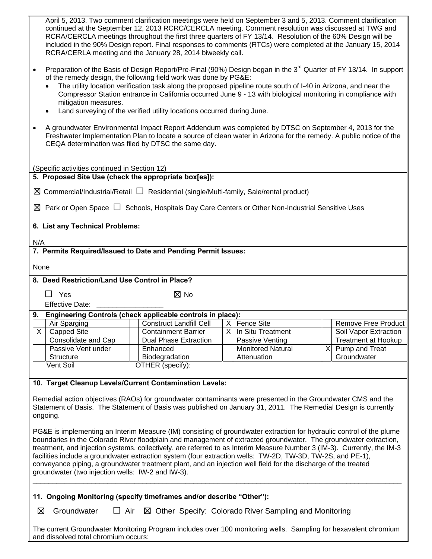| April 5, 2013. Two comment clarification meetings were held on September 3 and 5, 2013. Comment clarification<br>continued at the September 12, 2013 RCRC/CERCLA meeting. Comment resolution was discussed at TWG and<br>RCRA/CERCLA meetings throughout the first three quarters of FY 13/14. Resolution of the 60% Design will be<br>included in the 90% Design report. Final responses to comments (RTCs) were completed at the January 15, 2014<br>RCRA/CERLA meeting and the January 28, 2014 biweekly call.<br>Preparation of the Basis of Design Report/Pre-Final (90%) Design began in the 3 <sup>rd</sup> Quarter of FY 13/14. In support<br>of the remedy design, the following field work was done by PG&E: |                                |  |                          |  |                            |
|------------------------------------------------------------------------------------------------------------------------------------------------------------------------------------------------------------------------------------------------------------------------------------------------------------------------------------------------------------------------------------------------------------------------------------------------------------------------------------------------------------------------------------------------------------------------------------------------------------------------------------------------------------------------------------------------------------------------|--------------------------------|--|--------------------------|--|----------------------------|
| The utility location verification task along the proposed pipeline route south of I-40 in Arizona, and near the<br>Compressor Station entrance in California occurred June 9 - 13 with biological monitoring in compliance with<br>mitigation measures.<br>Land surveying of the verified utility locations occurred during June.                                                                                                                                                                                                                                                                                                                                                                                      |                                |  |                          |  |                            |
| A groundwater Environmental Impact Report Addendum was completed by DTSC on September 4, 2013 for the<br>Freshwater Implementation Plan to locate a source of clean water in Arizona for the remedy. A public notice of the<br>CEQA determination was filed by DTSC the same day.                                                                                                                                                                                                                                                                                                                                                                                                                                      |                                |  |                          |  |                            |
| (Specific activities continued in Section 12)                                                                                                                                                                                                                                                                                                                                                                                                                                                                                                                                                                                                                                                                          |                                |  |                          |  |                            |
| 5. Proposed Site Use (check the appropriate box[es]):                                                                                                                                                                                                                                                                                                                                                                                                                                                                                                                                                                                                                                                                  |                                |  |                          |  |                            |
| $\boxtimes$ Commercial/Industrial/Retail $\Box$ Residential (single/Multi-family, Sale/rental product)                                                                                                                                                                                                                                                                                                                                                                                                                                                                                                                                                                                                                 |                                |  |                          |  |                            |
|                                                                                                                                                                                                                                                                                                                                                                                                                                                                                                                                                                                                                                                                                                                        |                                |  |                          |  |                            |
| $\boxtimes$ Park or Open Space $\Box$ Schools, Hospitals Day Care Centers or Other Non-Industrial Sensitive Uses                                                                                                                                                                                                                                                                                                                                                                                                                                                                                                                                                                                                       |                                |  |                          |  |                            |
| 6. List any Technical Problems:                                                                                                                                                                                                                                                                                                                                                                                                                                                                                                                                                                                                                                                                                        |                                |  |                          |  |                            |
| N/A                                                                                                                                                                                                                                                                                                                                                                                                                                                                                                                                                                                                                                                                                                                    |                                |  |                          |  |                            |
| 7. Permits Required/Issued to Date and Pending Permit Issues:                                                                                                                                                                                                                                                                                                                                                                                                                                                                                                                                                                                                                                                          |                                |  |                          |  |                            |
| None                                                                                                                                                                                                                                                                                                                                                                                                                                                                                                                                                                                                                                                                                                                   |                                |  |                          |  |                            |
| 8. Deed Restriction/Land Use Control in Place?                                                                                                                                                                                                                                                                                                                                                                                                                                                                                                                                                                                                                                                                         |                                |  |                          |  |                            |
|                                                                                                                                                                                                                                                                                                                                                                                                                                                                                                                                                                                                                                                                                                                        |                                |  |                          |  |                            |
| $\Box$ Yes                                                                                                                                                                                                                                                                                                                                                                                                                                                                                                                                                                                                                                                                                                             | $\boxtimes$ No                 |  |                          |  |                            |
| <b>Effective Date:</b>                                                                                                                                                                                                                                                                                                                                                                                                                                                                                                                                                                                                                                                                                                 |                                |  |                          |  |                            |
| 9. Engineering Controls (check applicable controls in place):<br>Air Sparging                                                                                                                                                                                                                                                                                                                                                                                                                                                                                                                                                                                                                                          | <b>Construct Landfill Cell</b> |  | X Fence Site             |  | Remove Free Product        |
| $\overline{X}$<br><b>Capped Site</b>                                                                                                                                                                                                                                                                                                                                                                                                                                                                                                                                                                                                                                                                                   | <b>Containment Barrier</b>     |  | X In Situ Treatment      |  | Soil Vapor Extraction      |
| Consolidate and Cap                                                                                                                                                                                                                                                                                                                                                                                                                                                                                                                                                                                                                                                                                                    | <b>Dual Phase Extraction</b>   |  | Passive Venting          |  | <b>Treatment at Hookup</b> |
| Passive Vent under                                                                                                                                                                                                                                                                                                                                                                                                                                                                                                                                                                                                                                                                                                     | Enhanced                       |  | <b>Monitored Natural</b> |  | $X$ Pump and Treat         |
| Structure                                                                                                                                                                                                                                                                                                                                                                                                                                                                                                                                                                                                                                                                                                              | Biodegradation                 |  | Attenuation              |  | Groundwater                |
| Vent Soil                                                                                                                                                                                                                                                                                                                                                                                                                                                                                                                                                                                                                                                                                                              | OTHER (specify):               |  |                          |  |                            |
|                                                                                                                                                                                                                                                                                                                                                                                                                                                                                                                                                                                                                                                                                                                        |                                |  |                          |  |                            |
| 10. Target Cleanup Levels/Current Contamination Levels:<br>Remedial action objectives (RAOs) for groundwater contaminants were presented in the Groundwater CMS and the<br>Statement of Basis. The Statement of Basis was published on January 31, 2011. The Remedial Design is currently<br>ongoing.                                                                                                                                                                                                                                                                                                                                                                                                                  |                                |  |                          |  |                            |
| PG&E is implementing an Interim Measure (IM) consisting of groundwater extraction for hydraulic control of the plume<br>boundaries in the Colorado River floodplain and management of extracted groundwater. The groundwater extraction,<br>treatment, and injection systems, collectively, are referred to as Interim Measure Number 3 (IM-3). Currently, the IM-3<br>facilities include a groundwater extraction system (four extraction wells: TW-2D, TW-3D, TW-2S, and PE-1),<br>conveyance piping, a groundwater treatment plant, and an injection well field for the discharge of the treated<br>groundwater (two injection wells: IW-2 and IW-3).                                                               |                                |  |                          |  |                            |
| 11. Ongoing Monitoring (specify timeframes and/or describe "Other"):                                                                                                                                                                                                                                                                                                                                                                                                                                                                                                                                                                                                                                                   |                                |  |                          |  |                            |
| Groundwater<br>$\Box$ Air<br>⊠<br>⊠ Other Specify: Colorado River Sampling and Monitoring                                                                                                                                                                                                                                                                                                                                                                                                                                                                                                                                                                                                                              |                                |  |                          |  |                            |
| The current Groundwater Monitoring Program includes over 100 monitoring wells. Sampling for hexavalent chromium<br>and dissolved total chromium occurs:                                                                                                                                                                                                                                                                                                                                                                                                                                                                                                                                                                |                                |  |                          |  |                            |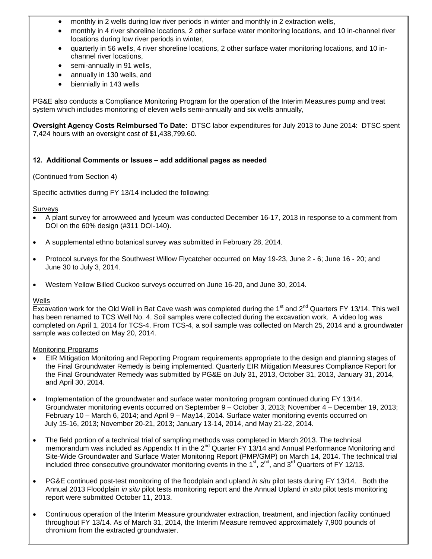- monthly in 2 wells during low river periods in winter and monthly in 2 extraction wells,
- monthly in 4 river shoreline locations, 2 other surface water monitoring locations, and 10 in-channel river locations during low river periods in winter,
- quarterly in 56 wells, 4 river shoreline locations, 2 other surface water monitoring locations, and 10 inchannel river locations,
- semi-annually in 91 wells,
- annually in 130 wells, and
- biennially in 143 wells

PG&E also conducts a Compliance Monitoring Program for the operation of the Interim Measures pump and treat system which includes monitoring of eleven wells semi-annually and six wells annually,

**Oversight Agency Costs Reimbursed To Date:** DTSC labor expenditures for July 2013 to June 2014: DTSC spent 7,424 hours with an oversight cost of \$1,438,799.60.

#### **12. Additional Comments or Issues – add additional pages as needed**

(Continued from Section 4)

Specific activities during FY 13/14 included the following:

Surveys

- A plant survey for arrowweed and lyceum was conducted December 16-17, 2013 in response to a comment from DOI on the 60% design (#311 DOI-140).
- A supplemental ethno botanical survey was submitted in February 28, 2014.
- Protocol surveys for the Southwest Willow Flycatcher occurred on May 19-23, June 2 6; June 16 20; and June 30 to July 3, 2014.
- Western Yellow Billed Cuckoo surveys occurred on June 16-20, and June 30, 2014.

#### **Wells**

Excavation work for the Old Well in Bat Cave wash was completed during the  $1<sup>st</sup>$  and  $2<sup>nd</sup>$  Quarters FY 13/14. This well has been renamed to TCS Well No. 4. Soil samples were collected during the excavation work. A video log was completed on April 1, 2014 for TCS-4. From TCS-4, a soil sample was collected on March 25, 2014 and a groundwater sample was collected on May 20, 2014.

Monitoring Programs

- EIR Mitigation Monitoring and Reporting Program requirements appropriate to the design and planning stages of the Final Groundwater Remedy is being implemented. Quarterly EIR Mitigation Measures Compliance Report for the Final Groundwater Remedy was submitted by PG&E on July 31, 2013, October 31, 2013, January 31, 2014, and April 30, 2014.
- Implementation of the groundwater and surface water monitoring program continued during FY 13/14. Groundwater monitoring events occurred on September 9 – October 3, 2013; November 4 – December 19, 2013; February 10 – March 6, 2014; and April 9 – May14, 2014. Surface water monitoring events occurred on July 15-16, 2013; November 20-21, 2013; January 13-14, 2014, and May 21-22, 2014.
- The field portion of a technical trial of sampling methods was completed in March 2013. The technical memorandum was included as Appendix H in the  $2^{nd}$  Quarter FY 13/14 and Annual Performance Monitoring and Site-Wide Groundwater and Surface Water Monitoring Report (PMP/GMP) on March 14, 2014. The technical trial included three consecutive groundwater monitoring events in the  $1<sup>st</sup>$ ,  $2<sup>nd</sup>$ , and  $3<sup>rd</sup>$  Quarters of FY 12/13.
- PG&E continued post-test monitoring of the floodplain and upland *in situ* pilot tests during FY 13/14. Both the Annual 2013 Floodplain *in situ* pilot tests monitoring report and the Annual Upland *in situ* pilot tests monitoring report were submitted October 11, 2013.
- Continuous operation of the Interim Measure groundwater extraction, treatment, and injection facility continued throughout FY 13/14. As of March 31, 2014, the Interim Measure removed approximately 7,900 pounds of chromium from the extracted groundwater.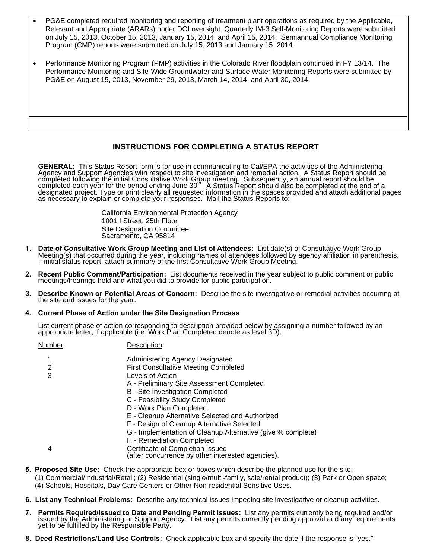- PG&E completed required monitoring and reporting of treatment plant operations as required by the Applicable, Relevant and Appropriate (ARARs) under DOI oversight. Quarterly IM-3 Self-Monitoring Reports were submitted on July 15, 2013, October 15, 2013, January 15, 2014, and April 15, 2014. Semiannual Compliance Monitoring Program (CMP) reports were submitted on July 15, 2013 and January 15, 2014.
- Performance Monitoring Program (PMP) activities in the Colorado River floodplain continued in FY 13/14. The Performance Monitoring and Site-Wide Groundwater and Surface Water Monitoring Reports were submitted by PG&E on August 15, 2013, November 29, 2013, March 14, 2014, and April 30, 2014.

#### **INSTRUCTIONS FOR COMPLETING A STATUS REPORT**

**GENERAL:** This Status Report form is for use in communicating to Cal/EPA the activities of the Administering<br>Agency and Support Agencies with respect to site investigation and remedial action. A Status Report should be<br>co

California Environmental Protection Agency 1001 I Street, 25th Floor Site Designation Committee Sacramento, CA 95814

- 1. Date of Consultative Work Group Meeting and List of Attendees: List date(s) of Consultative Work Group<br>Meeting(s) that occurred during the year, including names of attendees followed by agency affiliation in parenthesis
- **2. Recent Public Comment/Participation:** List documents received in the year subject to public comment or public meetings/hearings held and what you did to provide for public participation.
- **3. Describe Known or Potential Areas of Concern:** Describe the site investigative or remedial activities occurring at the site and issues for the year.

#### **4. Current Phase of Action under the Site Designation Process**

List current phase of action corresponding to description provided below by assigning a number followed by an appropriate letter, if applicable (i.e. Work Plan Completed denote as level 3D).

| Number | Description                                                 |
|--------|-------------------------------------------------------------|
|        | Administering Agency Designated                             |
| 2      | <b>First Consultative Meeting Completed</b>                 |
| 3      | Levels of Action                                            |
|        | A - Preliminary Site Assessment Completed                   |
|        | B - Site Investigation Completed                            |
|        | C - Feasibility Study Completed                             |
|        | D - Work Plan Completed                                     |
|        | E - Cleanup Alternative Selected and Authorized             |
|        | F - Design of Cleanup Alternative Selected                  |
|        | G - Implementation of Cleanup Alternative (give % complete) |
|        | H - Remediation Completed                                   |
| 4      | Certificate of Completion Issued                            |
|        | (after concurrence by other interested agencies).           |

- **5. Proposed Site Use:** Check the appropriate box or boxes which describe the planned use for the site:
	- (1) Commercial/Industrial/Retail; (2) Residential (single/multi-family, sale/rental product); (3) Park or Open space;
	- (4) Schools, Hospitals, Day Care Centers or Other Non-residential Sensitive Uses.
- **6. List any Technical Problems:** Describe any technical issues impeding site investigative or cleanup activities.
- 7. Permits Required/Issued to Date and Pending Permit Issues: List any permits currently being required and/or issued by the Administering or Support Agency. List any permits currently pending approval and any requirements
- **8**. **Deed Restrictions/Land Use Controls:** Check applicable box and specify the date if the response is "yes."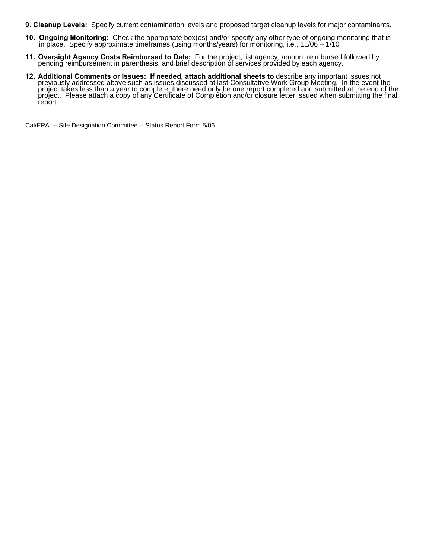- **9**. **Cleanup Levels:** Specify current contamination levels and proposed target cleanup levels for major contaminants.
- **10. Ongoing Monitoring:** Check the appropriate box(es) and/or specify any other type of ongoing monitoring that is in place. Specify approximate timeframes (using months/years) for monitoring, i.e., 11/06 1/10
- **11. Oversight Agency Costs Reimbursed to Date:** For the project, list agency, amount reimbursed followed by pending reimbursement in parenthesis, and brief description of services provided by each agency.
- 12. Additional Comments or Issues: If needed, attach additional sheets to describe any important issues not previously addressed above such as issues discussed at last Consultative Work Group Meeting. In the event the project takes less than a year to complete, there need only be one report completed and submitted at the end of the project. Please attach a copy of any Certificate of Completion and/or closure letter issued when submittin report.

Cal/EPA -- Site Designation Committee -- Status Report Form 5/06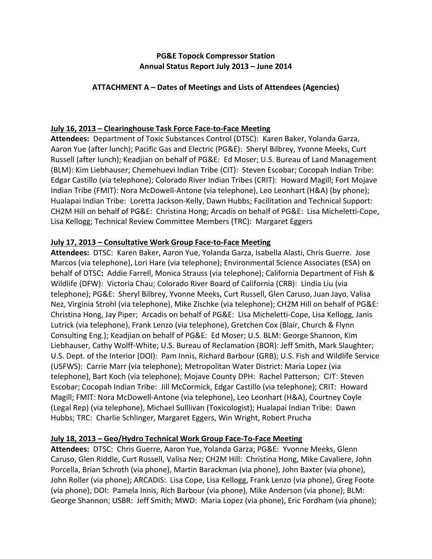## **PG&E Topock Compressor Station Annual Status Report July 2013 – June 2014**

## **ATTACHMENT A – Dates of Meetings and Lists of Attendees (Agencies)**

## **July 16, 2013 – Clearinghouse Task Force Face‐to‐Face Meeting**

 **Attendees:** Department of Toxic Substances Control (DTSC): Karen Baker, Yolanda Garza, Aaron Yue (after lunch); Pacific Gas and Electric (PG&E): Sheryl Bilbrey, Yvonne Meeks, Curt Russell (after lunch); Keadjian on behalf of PG&E: Ed Moser; U.S. Bureau of Land Management (BLM): Kim Liebhauser; Chemehuevi Indian Tribe (CIT): Steven Escobar; Cocopah Indian Tribe: Edgar Castillo (via telephone); Colorado River Indian Tribes (CRIT): Howard Magill; Fort Mojave Indian Tribe (FMIT): Nora McDowell‐Antone (via telephone), Leo Leonhart (H&A) (by phone); Hualapai Indian Tribe: Loretta Jackson‐Kelly, Dawn Hubbs; Facilitation and Technical Support: CH2M Hill on behalf of PG&E: Christina Hong; Arcadis on behalf of PG&E: Lisa Micheletti‐Cope, Lisa Kellogg; Technical Review Committee Members (TRC): Margaret Eggers

### **July 17, 2013 – Consultative Work Group Face‐to‐Face Meeting**

 **Attendees:** DTSC: Karen Baker, Aaron Yue, Yolanda Garza, Isabella Alasti, Chris Guerre. Jose Marcos (via telephone), Lori Hare (via telephone); Environmental Science Associates (ESA) on  behalf of DTSC**:** Addie Farrell, Monica Strauss (via telephone); California Department of Fish & Wildlife (DFW): Victoria Chau; Colorado River Board of California (CRB): Lindia Liu (via telephone); PG&E: Sheryl Bilbrey, Yvonne Meeks, Curt Russell, Glen Caruso, Juan Jayo, Valisa Nez, Virginia Strohl (via telephone), Mike Zischke (via telephone); CH2M Hill on behalf of PG&E: Christina Hong, Jay Piper; Arcadis on behalf of PG&E: Lisa Micheletti‐Cope, Lisa Kellogg, Janis Lutrick (via telephone), Frank Lenzo (via telephone), Gretchen Cox (Blair, Church & Flynn Consulting Eng.); Keadjian on behalf of PG&E: Ed Moser; U.S. BLM: George Shannon, Kim Liebhauser, Cathy Wolff‐White; U.S. Bureau of Reclamation (BOR): Jeff Smith, Mark Slaughter; U.S. Dept. of the Interior (DOI): Pam Innis, Richard Barbour (GRB); U.S. Fish and Wildlife Service (USFWS): Carrie Marr (via telephone); Metropolitan Water District: Maria Lopez (via  telephone), Bart Koch (via telephone); Mojave County DPH: Rachel Patterson; CIT: Steven Escobar; Cocopah Indian Tribe: Jill McCormick, Edgar Castillo (via telephone); CRIT: Howard Magill; FMIT: Nora McDowell‐Antone (via telephone), Leo Leonhart (H&A), Courtney Coyle (Legal Rep) (via telephone), Michael Sulllivan (Toxicologist); Hualapai Indian Tribe: Dawn Hubbs; TRC: Charlie Schlinger, Margaret Eggers, Win Wright, Robert Prucha

## **July 18, 2013 – Geo/Hydro Technical Work Group Face‐To‐Face Meeting**

 **Attendees:** DTSC: Chris Guerre, Aaron Yue, Yolanda Garza; PG&E: Yvonne Meeks, Glenn Caruso, Glen Riddle, Curt Russell, Valisa Nez; CH2M Hill: Christina Hong, Mike Cavaliere, John Porcella, Brian Schroth (via phone), Martin Barackman (via phone), John Baxter (via phone), John Roller (via phone); ARCADIS: Lisa Cope, Lisa Kellogg, Frank Lenzo (via phone), Greg Foote (via phone); DOI: Pamela Innis, Rich Barbour (via phone), Mike Anderson (via phone); BLM: George Shannon; USBR: Jeff Smith; MWD: Maria Lopez (via phone), Eric Fordham (via phone);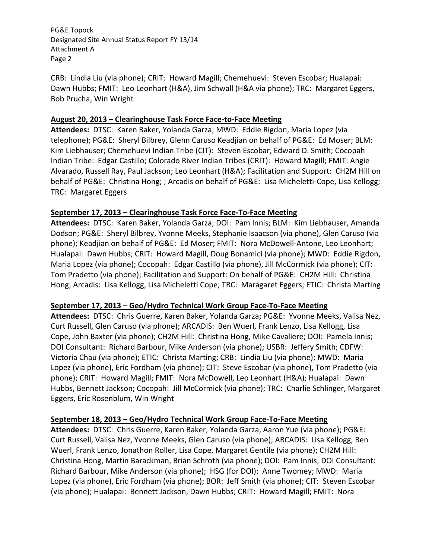CRB: Lindia Liu (via phone); CRIT: Howard Magill; Chemehuevi: Steven Escobar; Hualapai: Dawn Hubbs; FMIT: Leo Leonhart (H&A), Jim Schwall (H&A via phone); TRC: Margaret Eggers, Bob Prucha, Win Wright

### **August 20, 2013 – Clearinghouse Task Force Face‐to‐Face Meeting**

 **Attendees:** DTSC: Karen Baker, Yolanda Garza; MWD: Eddie Rigdon, Maria Lopez (via telephone); PG&E: Sheryl Bilbrey, Glenn Caruso Keadjian on behalf of PG&E: Ed Moser; BLM: Kim Liebhauser; Chemehuevi Indian Tribe (CIT): Steven Escobar, Edward D. Smith; Cocopah Indian Tribe: Edgar Castillo; Colorado River Indian Tribes (CRIT): Howard Magill; FMIT: Angie Alvarado, Russell Ray, Paul Jackson; Leo Leonhart (H&A); Facilitation and Support: CH2M Hill on behalf of PG&E: Christina Hong; ; Arcadis on behalf of PG&E: Lisa Micheletti‐Cope, Lisa Kellogg; TRC: Margaret Eggers

## **September 17, 2013 – Clearinghouse Task Force Face‐To‐Face Meeting**

 **Attendees:** DTSC: Karen Baker, Yolanda Garza; DOI: Pam Innis; BLM: Kim Liebhauser, Amanda Dodson; PG&E: Sheryl Bilbrey, Yvonne Meeks, Stephanie Isaacson (via phone), Glen Caruso (via phone); Keadjian on behalf of PG&E: Ed Moser; FMIT: Nora McDowell‐Antone, Leo Leonhart; Hualapai: Dawn Hubbs; CRIT: Howard Magill, Doug Bonamici (via phone); MWD: Eddie Rigdon, Maria Lopez (via phone); Cocopah: Edgar Castillo (via phone), Jill McCormick (via phone); CIT: Tom Pradetto (via phone); Facilitation and Support: On behalf of PG&E: CH2M Hill: Christina Hong; Arcadis: Lisa Kellogg, Lisa Micheletti Cope; TRC: Maragaret Eggers; ETIC: Christa Marting

# **September 17, 2013 – Geo/Hydro Technical Work Group Face‐To‐Face Meeting**

 **Attendees:** DTSC: Chris Guerre, Karen Baker, Yolanda Garza; PG&E: Yvonne Meeks, Valisa Nez, Curt Russell, Glen Caruso (via phone); ARCADIS: Ben Wuerl, Frank Lenzo, Lisa Kellogg, Lisa Cope, John Baxter (via phone); CH2M Hill: Christina Hong, Mike Cavaliere; DOI: Pamela Innis; DOI Consultant: Richard Barbour, Mike Anderson (via phone); USBR: Jeffery Smith; CDFW: Victoria Chau (via phone); ETIC: Christa Marting; CRB: Lindia Liu (via phone); MWD: Maria Lopez (via phone), Eric Fordham (via phone); CIT: Steve Escobar (via phone), Tom Pradetto (via phone); CRIT: Howard Magill; FMIT: Nora McDowell, Leo Leonhart (H&A); Hualapai: Dawn Hubbs, Bennett Jackson; Cocopah: Jill McCormick (via phone); TRC: Charlie Schlinger, Margaret Eggers, Eric Rosenblum, Win Wright

## **September 18, 2013 – Geo/Hydro Technical Work Group Face‐To‐Face Meeting**

 **Attendees:** DTSC: Chris Guerre, Karen Baker, Yolanda Garza, Aaron Yue (via phone); PG&E: Curt Russell, Valisa Nez, Yvonne Meeks, Glen Caruso (via phone); ARCADIS: Lisa Kellogg, Ben Wuerl, Frank Lenzo, Jonathon Roller, Lisa Cope, Margaret Gentile (via phone); CH2M Hill: Christina Hong, Martin Barackman, Brian Schroth (via phone); DOI: Pam Innis; DOI Consultant: Richard Barbour, Mike Anderson (via phone); HSG (for DOI): Anne Twomey; MWD: Maria Lopez (via phone), Eric Fordham (via phone); BOR: Jeff Smith (via phone); CIT: Steven Escobar (via phone); Hualapai: Bennett Jackson, Dawn Hubbs; CRIT: Howard Magill; FMIT: Nora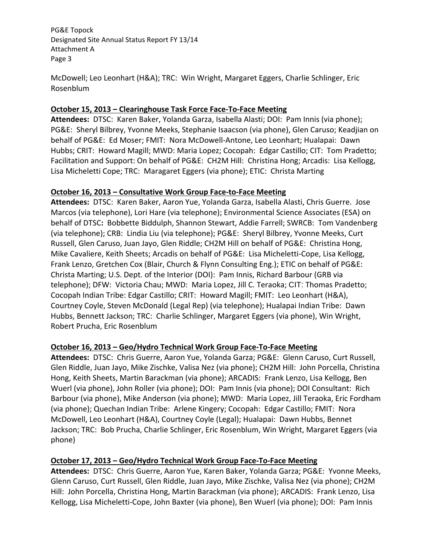McDowell; Leo Leonhart (H&A); TRC: Win Wright, Margaret Eggers, Charlie Schlinger, Eric Rosenblum

# **October 15, 2013 – Clearinghouse Task Force Face‐To‐Face Meeting**

 **Attendees:** DTSC: Karen Baker, Yolanda Garza, Isabella Alasti; DOI: Pam Innis (via phone); PG&E: Sheryl Bilbrey, Yvonne Meeks, Stephanie Isaacson (via phone), Glen Caruso; Keadjian on behalf of PG&E: Ed Moser; FMIT: Nora McDowell‐Antone, Leo Leonhart; Hualapai: Dawn Hubbs; CRIT: Howard Magill; MWD: Maria Lopez; Cocopah: Edgar Castillo; CIT: Tom Pradetto; Facilitation and Support: On behalf of PG&E: CH2M Hill: Christina Hong; Arcadis: Lisa Kellogg, Lisa Micheletti Cope; TRC: Maragaret Eggers (via phone); ETIC: Christa Marting

## **October 16, 2013 – Consultative Work Group Face‐to‐Face Meeting**

 **Attendees:** DTSC: Karen Baker, Aaron Yue, Yolanda Garza, Isabella Alasti, Chris Guerre. Jose Marcos (via telephone), Lori Hare (via telephone); Environmental Science Associates (ESA) on  behalf of DTSC**:** Bobbette Biddulph, Shannon Stewart, Addie Farrell; SWRCB: Tom Vandenberg (via telephone); CRB: Lindia Liu (via telephone); PG&E: Sheryl Bilbrey, Yvonne Meeks, Curt Russell, Glen Caruso, Juan Jayo, Glen Riddle; CH2M Hill on behalf of PG&E: Christina Hong, Mike Cavaliere, Keith Sheets; Arcadis on behalf of PG&E: Lisa Micheletti‐Cope, Lisa Kellogg, Frank Lenzo, Gretchen Cox (Blair, Church & Flynn Consulting Eng.); ETIC on behalf of PG&E: Christa Marting; U.S. Dept. of the Interior (DOI): Pam Innis, Richard Barbour (GRB via telephone); DFW: Victoria Chau; MWD: Maria Lopez, Jill C. Teraoka; CIT: Thomas Pradetto; Cocopah Indian Tribe: Edgar Castillo; CRIT: Howard Magill; FMIT: Leo Leonhart (H&A), Courtney Coyle, Steven McDonald (Legal Rep) (via telephone); Hualapai Indian Tribe: Dawn Hubbs, Bennett Jackson; TRC: Charlie Schlinger, Margaret Eggers (via phone), Win Wright, Robert Prucha, Eric Rosenblum

## **October 16, 2013 – Geo/Hydro Technical Work Group Face‐To‐Face Meeting**

 **Attendees:** DTSC: Chris Guerre, Aaron Yue, Yolanda Garza; PG&E: Glenn Caruso, Curt Russell, Glen Riddle, Juan Jayo, Mike Zischke, Valisa Nez (via phone); CH2M Hill: John Porcella, Christina Hong, Keith Sheets, Martin Barackman (via phone); ARCADIS: Frank Lenzo, Lisa Kellogg, Ben Wuerl (via phone), John Roller (via phone); DOI: Pam Innis (via phone); DOI Consultant: Rich Barbour (via phone), Mike Anderson (via phone); MWD: Maria Lopez, Jill Teraoka, Eric Fordham (via phone); Quechan Indian Tribe: Arlene Kingery; Cocopah: Edgar Castillo; FMIT: Nora McDowell, Leo Leonhart (H&A), Courtney Coyle (Legal); Hualapai: Dawn Hubbs, Bennet Jackson; TRC: Bob Prucha, Charlie Schlinger, Eric Rosenblum, Win Wright, Margaret Eggers (via phone)

# **October 17, 2013 – Geo/Hydro Technical Work Group Face‐To‐Face Meeting**

 **Attendees:** DTSC: Chris Guerre, Aaron Yue, Karen Baker, Yolanda Garza; PG&E: Yvonne Meeks, Glenn Caruso, Curt Russell, Glen Riddle, Juan Jayo, Mike Zischke, Valisa Nez (via phone); CH2M Hill: John Porcella, Christina Hong, Martin Barackman (via phone); ARCADIS: Frank Lenzo, Lisa Kellogg, Lisa Micheletti‐Cope, John Baxter (via phone), Ben Wuerl (via phone); DOI: Pam Innis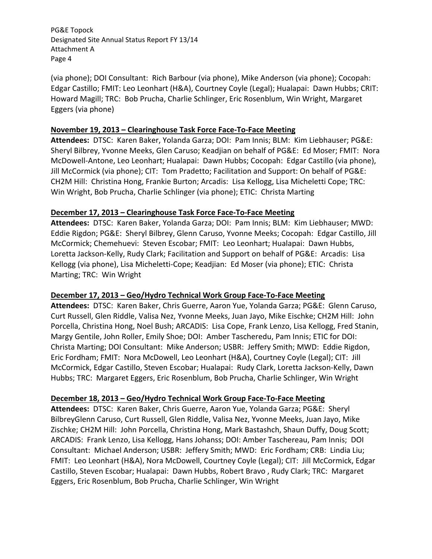(via phone); DOI Consultant: Rich Barbour (via phone), Mike Anderson (via phone); Cocopah: Edgar Castillo; FMIT: Leo Leonhart (H&A), Courtney Coyle (Legal); Hualapai: Dawn Hubbs; CRIT: Howard Magill; TRC: Bob Prucha, Charlie Schlinger, Eric Rosenblum, Win Wright, Margaret Eggers (via phone)

#### **November 19, 2013 – Clearinghouse Task Force Face‐To‐Face Meeting**

 **Attendees:** DTSC: Karen Baker, Yolanda Garza; DOI: Pam Innis; BLM: Kim Liebhauser; PG&E: Sheryl Bilbrey, Yvonne Meeks, Glen Caruso; Keadjian on behalf of PG&E: Ed Moser; FMIT: Nora McDowell‐Antone, Leo Leonhart; Hualapai: Dawn Hubbs; Cocopah: Edgar Castillo (via phone), Jill McCormick (via phone); CIT: Tom Pradetto; Facilitation and Support: On behalf of PG&E: CH2M Hill: Christina Hong, Frankie Burton; Arcadis: Lisa Kellogg, Lisa Micheletti Cope; TRC: Win Wright, Bob Prucha, Charlie Schlinger (via phone); ETIC: Christa Marting

### **December 17, 2013 – Clearinghouse Task Force Face‐To‐Face Meeting**

 **Attendees:** DTSC: Karen Baker, Yolanda Garza; DOI: Pam Innis; BLM: Kim Liebhauser; MWD: Eddie Rigdon; PG&E: Sheryl Bilbrey, Glenn Caruso, Yvonne Meeks; Cocopah: Edgar Castillo, Jill McCormick; Chemehuevi: Steven Escobar; FMIT: Leo Leonhart; Hualapai: Dawn Hubbs, Loretta Jackson‐Kelly, Rudy Clark; Facilitation and Support on behalf of PG&E: Arcadis: Lisa Kellogg (via phone), Lisa Micheletti‐Cope; Keadjian: Ed Moser (via phone); ETIC: Christa Marting; TRC: Win Wright

## **December 17, 2013 – Geo/Hydro Technical Work Group Face‐To‐Face Meeting**

 **Attendees:** DTSC: Karen Baker, Chris Guerre, Aaron Yue, Yolanda Garza; PG&E: Glenn Caruso, Curt Russell, Glen Riddle, Valisa Nez, Yvonne Meeks, Juan Jayo, Mike Eischke; CH2M Hill: John Porcella, Christina Hong, Noel Bush; ARCADIS: Lisa Cope, Frank Lenzo, Lisa Kellogg, Fred Stanin, Margy Gentile, John Roller, Emily Shoe; DOI: Amber Tascheredu, Pam Innis; ETIC for DOI: Christa Marting; DOI Consultant: Mike Anderson; USBR: Jeffery Smith; MWD: Eddie Rigdon, Eric Fordham; FMIT: Nora McDowell, Leo Leonhart (H&A), Courtney Coyle (Legal); CIT: Jill McCormick, Edgar Castillo, Steven Escobar; Hualapai: Rudy Clark, Loretta Jackson‐Kelly, Dawn Hubbs; TRC: Margaret Eggers, Eric Rosenblum, Bob Prucha, Charlie Schlinger, Win Wright

# **December 18, 2013 – Geo/Hydro Technical Work Group Face‐To‐Face Meeting**

 **Attendees:** DTSC: Karen Baker, Chris Guerre, Aaron Yue, Yolanda Garza; PG&E: Sheryl BilbreyGlenn Caruso, Curt Russell, Glen Riddle, Valisa Nez, Yvonne Meeks, Juan Jayo, Mike Zischke; CH2M Hill: John Porcella, Christina Hong, Mark Bastashch, Shaun Duffy, Doug Scott; ARCADIS: Frank Lenzo, Lisa Kellogg, Hans Johanss; DOI: Amber Taschereau, Pam Innis; DOI Consultant: Michael Anderson; USBR: Jeffery Smith; MWD: Eric Fordham; CRB: Lindia Liu; FMIT: Leo Leonhart (H&A), Nora McDowell, Courtney Coyle (Legal); CIT: Jill McCormick, Edgar Castillo, Steven Escobar; Hualapai: Dawn Hubbs, Robert Bravo , Rudy Clark; TRC: Margaret Eggers, Eric Rosenblum, Bob Prucha, Charlie Schlinger, Win Wright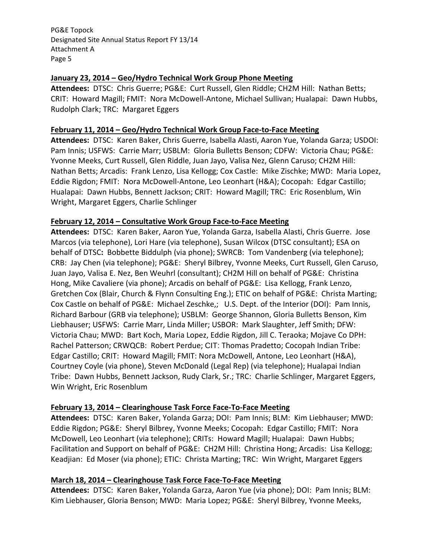### **January 23, 2014 – Geo/Hydro Technical Work Group Phone Meeting**

 **Attendees:** DTSC: Chris Guerre; PG&E: Curt Russell, Glen Riddle; CH2M Hill: Nathan Betts; CRIT: Howard Magill; FMIT: Nora McDowell‐Antone, Michael Sullivan; Hualapai: Dawn Hubbs, Rudolph Clark; TRC: Margaret Eggers

## **February 11, 2014 – Geo/Hydro Technical Work Group Face‐to‐Face Meeting**

 **Attendees:** DTSC: Karen Baker, Chris Guerre, Isabella Alasti, Aaron Yue, Yolanda Garza; USDOI: Pam Innis; USFWS: Carrie Marr; USBLM: Gloria Bulletts Benson; CDFW: Victoria Chau; PG&E: Yvonne Meeks, Curt Russell, Glen Riddle, Juan Jayo, Valisa Nez, Glenn Caruso; CH2M Hill: Nathan Betts; Arcadis: Frank Lenzo, Lisa Kellogg; Cox Castle: Mike Zischke; MWD: Maria Lopez, Eddie Rigdon; FMIT: Nora McDowell‐Antone, Leo Leonhart (H&A); Cocopah: Edgar Castillo; Hualapai: Dawn Hubbs, Bennett Jackson; CRIT: Howard Magill; TRC: Eric Rosenblum, Win Wright, Margaret Eggers, Charlie Schlinger

### **February 12, 2014 – Consultative Work Group Face‐to‐Face Meeting**

 **Attendees:** DTSC: Karen Baker, Aaron Yue, Yolanda Garza, Isabella Alasti, Chris Guerre. Jose Marcos (via telephone), Lori Hare (via telephone), Susan Wilcox (DTSC consultant); ESA on  behalf of DTSC**:** Bobbette Biddulph (via phone); SWRCB: Tom Vandenberg (via telephone); CRB: Jay Chen (via telephone); PG&E: Sheryl Bilbrey, Yvonne Meeks, Curt Russell, Glen Caruso, Juan Jayo, Valisa E. Nez, Ben Weuhrl (consultant); CH2M Hill on behalf of PG&E: Christina Hong, Mike Cavaliere (via phone); Arcadis on behalf of PG&E: Lisa Kellogg, Frank Lenzo, Gretchen Cox (Blair, Church & Flynn Consulting Eng.); ETIC on behalf of PG&E: Christa Marting; Cox Castle on behalf of PG&E: Michael Zeschke,; U.S. Dept. of the Interior (DOI): Pam Innis, Richard Barbour (GRB via telephone); USBLM: George Shannon, Gloria Bulletts Benson, Kim Liebhauser; USFWS: Carrie Marr, Linda Miller; USBOR: Mark Slaughter, Jeff Smith; DFW: Victoria Chau; MWD: Bart Koch, Maria Lopez, Eddie Rigdon, Jill C. Teraoka; Mojave Co DPH: Rachel Patterson; CRWQCB: Robert Perdue; CIT: Thomas Pradetto; Cocopah Indian Tribe: Edgar Castillo; CRIT: Howard Magill; FMIT: Nora McDowell, Antone, Leo Leonhart (H&A), Courtney Coyle (via phone), Steven McDonald (Legal Rep) (via telephone); Hualapai Indian Tribe: Dawn Hubbs, Bennett Jackson, Rudy Clark, Sr.; TRC: Charlie Schlinger, Margaret Eggers, Win Wright, Eric Rosenblum

## **February 13, 2014 – Clearinghouse Task Force Face‐To‐Face Meeting**

 **Attendees:** DTSC: Karen Baker, Yolanda Garza; DOI: Pam Innis; BLM: Kim Liebhauser; MWD: Eddie Rigdon; PG&E: Sheryl Bilbrey, Yvonne Meeks; Cocopah: Edgar Castillo; FMIT: Nora McDowell, Leo Leonhart (via telephone); CRITs: Howard Magill; Hualapai: Dawn Hubbs; Facilitation and Support on behalf of PG&E: CH2M Hill: Christina Hong; Arcadis: Lisa Kellogg; Keadjian: Ed Moser (via phone); ETIC: Christa Marting; TRC: Win Wright, Margaret Eggers

## **March 18, 2014 – Clearinghouse Task Force Face‐To‐Face Meeting**

 **Attendees:** DTSC: Karen Baker, Yolanda Garza, Aaron Yue (via phone); DOI: Pam Innis; BLM: Kim Liebhauser, Gloria Benson; MWD: Maria Lopez; PG&E: Sheryl Bilbrey, Yvonne Meeks,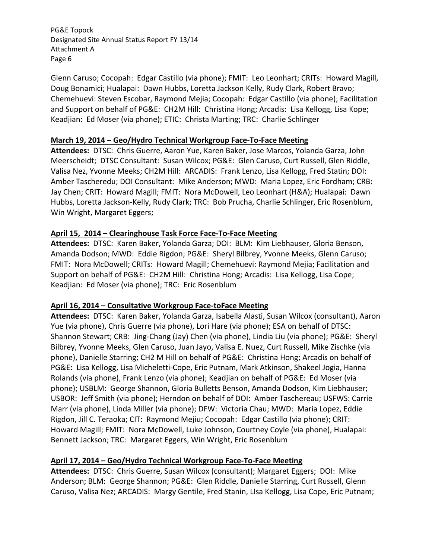Glenn Caruso; Cocopah: Edgar Castillo (via phone); FMIT: Leo Leonhart; CRITs: Howard Magill, Doug Bonamici; Hualapai: Dawn Hubbs, Loretta Jackson Kelly, Rudy Clark, Robert Bravo; Chemehuevi: Steven Escobar, Raymond Mejia; Cocopah: Edgar Castillo (via phone); Facilitation and Support on behalf of PG&E: CH2M Hill: Christina Hong; Arcadis: Lisa Kellogg, Lisa Kope; Keadjian: Ed Moser (via phone); ETIC: Christa Marting; TRC: Charlie Schlinger

## **March 19, 2014 – Geo/Hydro Technical Workgroup Face‐To‐Face Meeting**

 **Attendees:** DTSC: Chris Guerre, Aaron Yue, Karen Baker, Jose Marcos, Yolanda Garza, John Meerscheidt; DTSC Consultant: Susan Wilcox; PG&E: Glen Caruso, Curt Russell, Glen Riddle, Valisa Nez, Yvonne Meeks; CH2M Hill: ARCADIS: Frank Lenzo, Lisa Kellogg, Fred Statin; DOI: Amber Tascheredu; DOI Consultant: Mike Anderson; MWD: Maria Lopez, Eric Fordham; CRB: Jay Chen; CRIT: Howard Magill; FMIT: Nora McDowell, Leo Leonhart (H&A); Hualapai: Dawn Hubbs, Loretta Jackson‐Kelly, Rudy Clark; TRC: Bob Prucha, Charlie Schlinger, Eric Rosenblum, Win Wright, Margaret Eggers;

## **April 15, 2014 – Clearinghouse Task Force Face‐To‐Face Meeting**

 **Attendees:** DTSC: Karen Baker, Yolanda Garza; DOI: BLM: Kim Liebhauser, Gloria Benson, Amanda Dodson; MWD: Eddie Rigdon; PG&E: Sheryl Bilbrey, Yvonne Meeks, Glenn Caruso; FMIT: Nora McDowell; CRITs: Howard Magill; Chemehuevi: Raymond Mejia; Facilitation and Support on behalf of PG&E: CH2M Hill: Christina Hong; Arcadis: Lisa Kellogg, Lisa Cope; Keadjian: Ed Moser (via phone); TRC: Eric Rosenblum

## **April 16, 2014 – Consultative Workgroup Face‐toFace Meeting**

 **Attendees:** DTSC: Karen Baker, Yolanda Garza, Isabella Alasti, Susan Wilcox (consultant), Aaron Yue (via phone), Chris Guerre (via phone), Lori Hare (via phone); ESA on behalf of DTSC: Shannon Stewart; CRB: Jing‐Chang (Jay) Chen (via phone), Lindia Liu (via phone); PG&E: Sheryl Bilbrey, Yvonne Meeks, Glen Caruso, Juan Jayo, Valisa E. Nuez, Curt Russell, Mike Zischke (via phone), Danielle Starring; CH2 M Hill on behalf of PG&E: Christina Hong; Arcadis on behalf of PG&E: Lisa Kellogg, Lisa Micheletti‐Cope, Eric Putnam, Mark Atkinson, Shakeel Jogia, Hanna Rolands (via phone), Frank Lenzo (via phone); Keadjian on behalf of PG&E: Ed Moser (via phone); USBLM: George Shannon, Gloria Bulletts Benson, Amanda Dodson, Kim Liebhauser; USBOR: Jeff Smith (via phone); Herndon on behalf of DOI: Amber Taschereau; USFWS: Carrie Marr (via phone), Linda Miller (via phone); DFW: Victoria Chau; MWD: Maria Lopez, Eddie Rigdon, Jill C. Teraoka; CIT: Raymond Mejiu; Cocopah: Edgar Castillo (via phone); CRIT: Howard Magill; FMIT: Nora McDowell, Luke Johnson, Courtney Coyle (via phone), Hualapai: Bennett Jackson; TRC: Margaret Eggers, Win Wright, Eric Rosenblum

## **April 17, 2014 – Geo/Hydro Technical Workgroup Face‐To‐Face Meeting**

 **Attendees:** DTSC: Chris Guerre, Susan Wilcox (consultant); Margaret Eggers; DOI: Mike Anderson; BLM: George Shannon; PG&E: Glen Riddle, Danielle Starring, Curt Russell, Glenn Caruso, Valisa Nez; ARCADIS: Margy Gentile, Fred Stanin, LIsa Kellogg, Lisa Cope, Eric Putnam;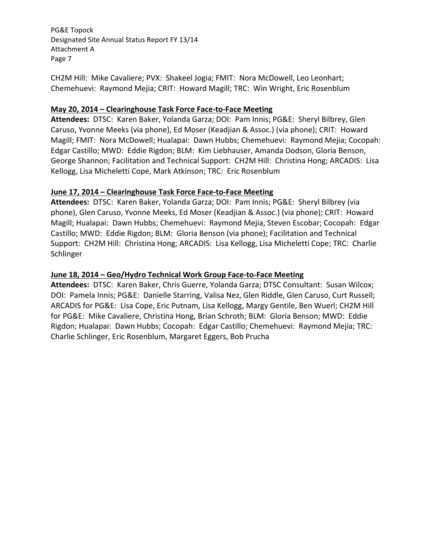CH2M Hill: Mike Cavaliere; PVX: Shakeel Jogia; FMIT: Nora McDowell, Leo Leonhart; Chemehuevi: Raymond Mejia; CRIT: Howard Magill; TRC: Win Wright, Eric Rosenblum

## **May 20, 2014 – Clearinghouse Task Force Face‐to‐Face Meeting**

 **Attendees:** DTSC: Karen Baker, Yolanda Garza; DOI: Pam Innis; PG&E: Sheryl Bilbrey, Glen Caruso, Yvonne Meeks (via phone), Ed Moser (Keadjian & Assoc.) (via phone); CRIT: Howard Magill; FMIT: Nora McDowell; Hualapai: Dawn Hubbs; Chemehuevi: Raymond Mejia; Cocopah: Edgar Castillo; MWD: Eddie Rigdon; BLM: Kim Liebhauser, Amanda Dodson, Gloria Benson, George Shannon; Facilitation and Technical Support: CH2M Hill: Christina Hong; ARCADIS: Lisa Kellogg, Lisa Micheletti Cope, Mark Atkinson; TRC: Eric Rosenblum

### **June 17, 2014 – Clearinghouse Task Force Face‐to‐Face Meeting**

 **Attendees:** DTSC: Karen Baker, Yolanda Garza; DOI: Pam Innis; PG&E: Sheryl Bilbrey (via phone), Glen Caruso, Yvonne Meeks, Ed Moser (Keadjian & Assoc.) (via phone); CRIT: Howard Magill; Hualapai: Dawn Hubbs; Chemehuevi: Raymond Mejia, Steven Escobar; Cocopah: Edgar Castillo; MWD: Eddie Rigdon; BLM: Gloria Benson (via phone); Facilitation and Technical Support: CH2M Hill: Christina Hong; ARCADIS: Lisa Kellogg, Lisa Micheletti Cope; TRC: Charlie Schlinger

### **June 18, 2014 – Geo/Hydro Technical Work Group Face‐to‐Face Meeting**

 **Attendees:** DTSC: Karen Baker, Chris Guerre, Yolanda Garza; DTSC Consultant: Susan Wilcox; DOI: Pamela Innis; PG&E: Danielle Starring, Valisa Nez, Glen Riddle, Glen Caruso, Curt Russell; ARCADIS for PG&E: Lisa Cope, Eric Putnam, Lisa Kellogg, Margy Gentile, Ben Wuerl; CH2M Hill for PG&E: Mike Cavaliere, Christina Hong, Brian Schroth; BLM: Gloria Benson; MWD: Eddie Rigdon; Hualapai: Dawn Hubbs; Cocopah: Edgar Castillo; Chemehuevi: Raymond Mejia; TRC: Charlie Schlinger, Eric Rosenblum, Margaret Eggers, Bob Prucha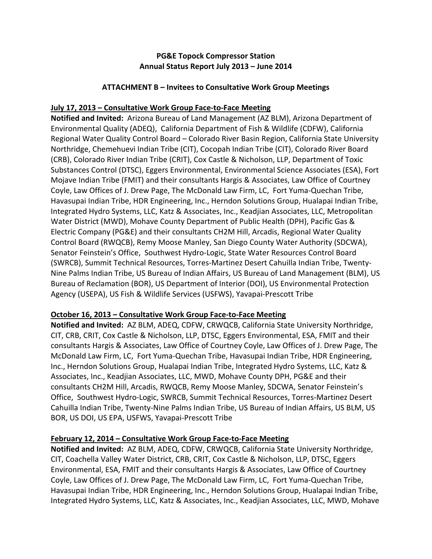## **PG&E Topock Compressor Station Annual Status Report July 2013 – June 2014**

## **ATTACHMENT B – Invitees to Consultative Work Group Meetings**

## **July 17, 2013 – Consultative Work Group Face‐to‐Face Meeting**

 **Notified and Invited:** Arizona Bureau of Land Management (AZ BLM), Arizona Department of Environmental Quality (ADEQ), California Department of Fish & Wildlife (CDFW), California Regional Water Quality Control Board – Colorado River Basin Region, California State University Northridge, Chemehuevi Indian Tribe (CIT), Cocopah Indian Tribe (CIT), Colorado River Board (CRB), Colorado River Indian Tribe (CRIT), Cox Castle & Nicholson, LLP, Department of Toxic Substances Control (DTSC), Eggers Environmental, Environmental Science Associates (ESA), Fort Mojave Indian Tribe (FMIT) and their consultants Hargis & Associates, Law Office of Courtney Coyle, Law Offices of J. Drew Page, The McDonald Law Firm, LC, Fort Yuma‐Quechan Tribe, Havasupai Indian Tribe, HDR Engineering, Inc., Herndon Solutions Group, Hualapai Indian Tribe, Integrated Hydro Systems, LLC, Katz & Associates, Inc., Keadjian Associates, LLC, Metropolitan Water District (MWD), Mohave County Department of Public Health (DPH), Pacific Gas & Electric Company (PG&E) and their consultants CH2M Hill, Arcadis, Regional Water Quality Control Board (RWQCB), Remy Moose Manley, San Diego County Water Authority (SDCWA), Senator Feinstein's Office, Southwest Hydro‐Logic, State Water Resources Control Board (SWRCB), Summit Technical Resources, Torres‐Martinez Desert Cahuilla Indian Tribe, Twenty‐ Nine Palms Indian Tribe, US Bureau of Indian Affairs, US Bureau of Land Management (BLM), US Bureau of Reclamation (BOR), US Department of Interior (DOI), US Environmental Protection Agency (USEPA), US Fish & Wildlife Services (USFWS), Yavapai‐Prescott Tribe

## **October 16, 2013 – Consultative Work Group Face‐to‐Face Meeting**

 **Notified and Invited:** AZ BLM, ADEQ, CDFW, CRWQCB, California State University Northridge, CIT, CRB, CRIT, Cox Castle & Nicholson, LLP, DTSC, Eggers Environmental, ESA, FMIT and their consultants Hargis & Associates, Law Office of Courtney Coyle, Law Offices of J. Drew Page, The McDonald Law Firm, LC, Fort Yuma‐Quechan Tribe, Havasupai Indian Tribe, HDR Engineering, Inc., Herndon Solutions Group, Hualapai Indian Tribe, Integrated Hydro Systems, LLC, Katz & Associates, Inc., Keadjian Associates, LLC, MWD, Mohave County DPH, PG&E and their consultants CH2M Hill, Arcadis, RWQCB, Remy Moose Manley, SDCWA, Senator Feinstein's Office, Southwest Hydro‐Logic, SWRCB, Summit Technical Resources, Torres‐Martinez Desert Cahuilla Indian Tribe, Twenty‐Nine Palms Indian Tribe, US Bureau of Indian Affairs, US BLM, US BOR, US DOI, US EPA, USFWS, Yavapai‐Prescott Tribe

## **February 12, 2014 – Consultative Work Group Face‐to‐Face Meeting**

 **Notified and Invited:** AZ BLM, ADEQ, CDFW, CRWQCB, California State University Northridge, CIT, Coachella Valley Water District, CRB, CRIT, Cox Castle & Nicholson, LLP, DTSC, Eggers Environmental, ESA, FMIT and their consultants Hargis & Associates, Law Office of Courtney Coyle, Law Offices of J. Drew Page, The McDonald Law Firm, LC, Fort Yuma‐Quechan Tribe, Havasupai Indian Tribe, HDR Engineering, Inc., Herndon Solutions Group, Hualapai Indian Tribe, Integrated Hydro Systems, LLC, Katz & Associates, Inc., Keadjian Associates, LLC, MWD, Mohave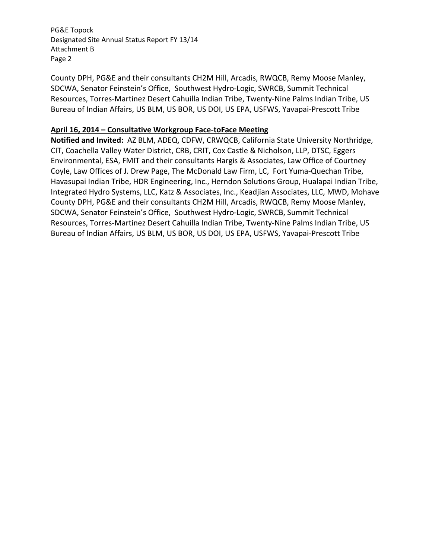County DPH, PG&E and their consultants CH2M Hill, Arcadis, RWQCB, Remy Moose Manley, SDCWA, Senator Feinstein's Office, Southwest Hydro‐Logic, SWRCB, Summit Technical Resources, Torres‐Martinez Desert Cahuilla Indian Tribe, Twenty‐Nine Palms Indian Tribe, US Bureau of Indian Affairs, US BLM, US BOR, US DOI, US EPA, USFWS, Yavapai‐Prescott Tribe

## **April 16, 2014 – Consultative Workgroup Face‐toFace Meeting**

 **Notified and Invited:** AZ BLM, ADEQ, CDFW, CRWQCB, California State University Northridge, CIT, Coachella Valley Water District, CRB, CRIT, Cox Castle & Nicholson, LLP, DTSC, Eggers Environmental, ESA, FMIT and their consultants Hargis & Associates, Law Office of Courtney Coyle, Law Offices of J. Drew Page, The McDonald Law Firm, LC, Fort Yuma‐Quechan Tribe, Havasupai Indian Tribe, HDR Engineering, Inc., Herndon Solutions Group, Hualapai Indian Tribe, Integrated Hydro Systems, LLC, Katz & Associates, Inc., Keadjian Associates, LLC, MWD, Mohave County DPH, PG&E and their consultants CH2M Hill, Arcadis, RWQCB, Remy Moose Manley, SDCWA, Senator Feinstein's Office, Southwest Hydro‐Logic, SWRCB, Summit Technical Resources, Torres‐Martinez Desert Cahuilla Indian Tribe, Twenty‐Nine Palms Indian Tribe, US Bureau of Indian Affairs, US BLM, US BOR, US DOI, US EPA, USFWS, Yavapai‐Prescott Tribe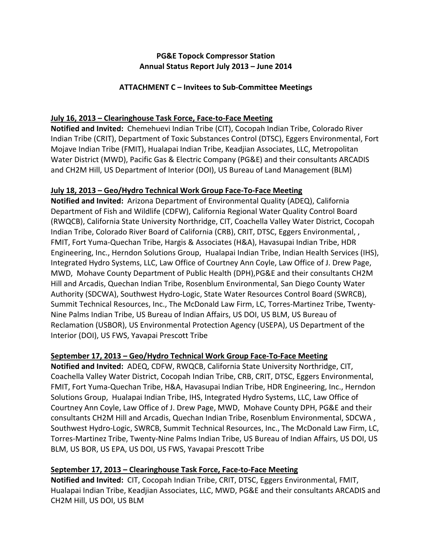# **PG&E Topock Compressor Station Annual Status Report July 2013 – June 2014**

### **ATTACHMENT C – Invitees to Sub‐Committee Meetings**

# **July 16, 2013 – Clearinghouse Task Force, Face‐to‐Face Meeting**

 **Notified and Invited:** Chemehuevi Indian Tribe (CIT), Cocopah Indian Tribe, Colorado River Indian Tribe (CRIT), Department of Toxic Substances Control (DTSC), Eggers Environmental, Fort Mojave Indian Tribe (FMIT), Hualapai Indian Tribe, Keadjian Associates, LLC, Metropolitan Water District (MWD), Pacific Gas & Electric Company (PG&E) and their consultants ARCADIS and CH2M Hill, US Department of Interior (DOI), US Bureau of Land Management (BLM)

## **July 18, 2013 – Geo/Hydro Technical Work Group Face‐To‐Face Meeting**

 **Notified and Invited:** Arizona Department of Environmental Quality (ADEQ), California Department of Fish and Wildlife (CDFW), California Regional Water Quality Control Board (RWQCB), California State University Northridge, CIT, Coachella Valley Water District, Cocopah Indian Tribe, Colorado River Board of California (CRB), CRIT, DTSC, Eggers Environmental, , FMIT, Fort Yuma‐Quechan Tribe, Hargis & Associates (H&A), Havasupai Indian Tribe, HDR Engineering, Inc., Herndon Solutions Group, Hualapai Indian Tribe, Indian Health Services (IHS), Integrated Hydro Systems, LLC, Law Office of Courtney Ann Coyle, Law Office of J. Drew Page, MWD, Mohave County Department of Public Health (DPH),PG&E and their consultants CH2M Hill and Arcadis, Quechan Indian Tribe, Rosenblum Environmental, San Diego County Water Authority (SDCWA), Southwest Hydro‐Logic, State Water Resources Control Board (SWRCB), Summit Technical Resources, Inc., The McDonald Law Firm, LC, Torres‐Martinez Tribe, Twenty‐ Nine Palms Indian Tribe, US Bureau of Indian Affairs, US DOI, US BLM, US Bureau of Reclamation (USBOR), US Environmental Protection Agency (USEPA), US Department of the Interior (DOI), US FWS, Yavapai Prescott Tribe

## **September 17, 2013 – Geo/Hydro Technical Work Group Face‐To‐Face Meeting**

 **Notified and Invited:** ADEQ, CDFW, RWQCB, California State University Northridge, CIT, Coachella Valley Water District, Cocopah Indian Tribe, CRB, CRIT, DTSC, Eggers Environmental, FMIT, Fort Yuma‐Quechan Tribe, H&A, Havasupai Indian Tribe, HDR Engineering, Inc., Herndon Solutions Group, Hualapai Indian Tribe, IHS, Integrated Hydro Systems, LLC, Law Office of Courtney Ann Coyle, Law Office of J. Drew Page, MWD, Mohave County DPH, PG&E and their consultants CH2M Hill and Arcadis, Quechan Indian Tribe, Rosenblum Environmental, SDCWA , Southwest Hydro‐Logic, SWRCB, Summit Technical Resources, Inc., The McDonald Law Firm, LC, Torres‐Martinez Tribe, Twenty‐Nine Palms Indian Tribe, US Bureau of Indian Affairs, US DOI, US BLM, US BOR, US EPA, US DOI, US FWS, Yavapai Prescott Tribe

# **September 17, 2013 – Clearinghouse Task Force, Face‐to‐Face Meeting**

 **Notified and Invited:** CIT, Cocopah Indian Tribe, CRIT, DTSC, Eggers Environmental, FMIT, Hualapai Indian Tribe, Keadjian Associates, LLC, MWD, PG&E and their consultants ARCADIS and CH2M Hill, US DOI, US BLM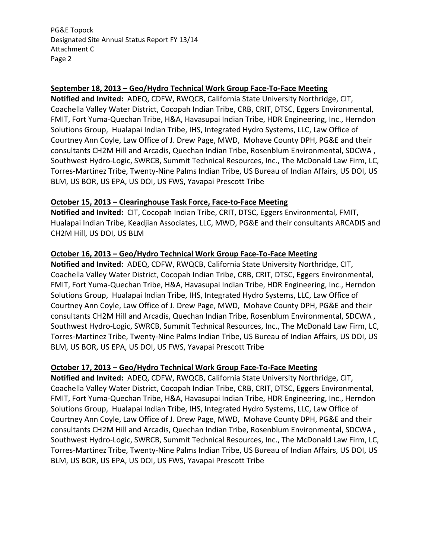### **September 18, 2013 – Geo/Hydro Technical Work Group Face‐To‐Face Meeting**

 **Notified and Invited:** ADEQ, CDFW, RWQCB, California State University Northridge, CIT, Coachella Valley Water District, Cocopah Indian Tribe, CRB, CRIT, DTSC, Eggers Environmental, FMIT, Fort Yuma‐Quechan Tribe, H&A, Havasupai Indian Tribe, HDR Engineering, Inc., Herndon Solutions Group, Hualapai Indian Tribe, IHS, Integrated Hydro Systems, LLC, Law Office of Courtney Ann Coyle, Law Office of J. Drew Page, MWD, Mohave County DPH, PG&E and their consultants CH2M Hill and Arcadis, Quechan Indian Tribe, Rosenblum Environmental, SDCWA , Southwest Hydro‐Logic, SWRCB, Summit Technical Resources, Inc., The McDonald Law Firm, LC, Torres‐Martinez Tribe, Twenty‐Nine Palms Indian Tribe, US Bureau of Indian Affairs, US DOI, US BLM, US BOR, US EPA, US DOI, US FWS, Yavapai Prescott Tribe

### **October 15, 2013 – Clearinghouse Task Force, Face‐to‐Face Meeting**

 **Notified and Invited:** CIT, Cocopah Indian Tribe, CRIT, DTSC, Eggers Environmental, FMIT, Hualapai Indian Tribe, Keadjian Associates, LLC, MWD, PG&E and their consultants ARCADIS and CH2M Hill, US DOI, US BLM

#### **October 16, 2013 – Geo/Hydro Technical Work Group Face‐To‐Face Meeting**

 **Notified and Invited:** ADEQ, CDFW, RWQCB, California State University Northridge, CIT, Coachella Valley Water District, Cocopah Indian Tribe, CRB, CRIT, DTSC, Eggers Environmental, FMIT, Fort Yuma‐Quechan Tribe, H&A, Havasupai Indian Tribe, HDR Engineering, Inc., Herndon Solutions Group, Hualapai Indian Tribe, IHS, Integrated Hydro Systems, LLC, Law Office of Courtney Ann Coyle, Law Office of J. Drew Page, MWD, Mohave County DPH, PG&E and their consultants CH2M Hill and Arcadis, Quechan Indian Tribe, Rosenblum Environmental, SDCWA , Southwest Hydro‐Logic, SWRCB, Summit Technical Resources, Inc., The McDonald Law Firm, LC, Torres‐Martinez Tribe, Twenty‐Nine Palms Indian Tribe, US Bureau of Indian Affairs, US DOI, US BLM, US BOR, US EPA, US DOI, US FWS, Yavapai Prescott Tribe

#### **October 17, 2013 – Geo/Hydro Technical Work Group Face‐To‐Face Meeting**

 **Notified and Invited:** ADEQ, CDFW, RWQCB, California State University Northridge, CIT, Coachella Valley Water District, Cocopah Indian Tribe, CRB, CRIT, DTSC, Eggers Environmental, FMIT, Fort Yuma‐Quechan Tribe, H&A, Havasupai Indian Tribe, HDR Engineering, Inc., Herndon Solutions Group, Hualapai Indian Tribe, IHS, Integrated Hydro Systems, LLC, Law Office of Courtney Ann Coyle, Law Office of J. Drew Page, MWD, Mohave County DPH, PG&E and their consultants CH2M Hill and Arcadis, Quechan Indian Tribe, Rosenblum Environmental, SDCWA , Southwest Hydro‐Logic, SWRCB, Summit Technical Resources, Inc., The McDonald Law Firm, LC, Torres‐Martinez Tribe, Twenty‐Nine Palms Indian Tribe, US Bureau of Indian Affairs, US DOI, US BLM, US BOR, US EPA, US DOI, US FWS, Yavapai Prescott Tribe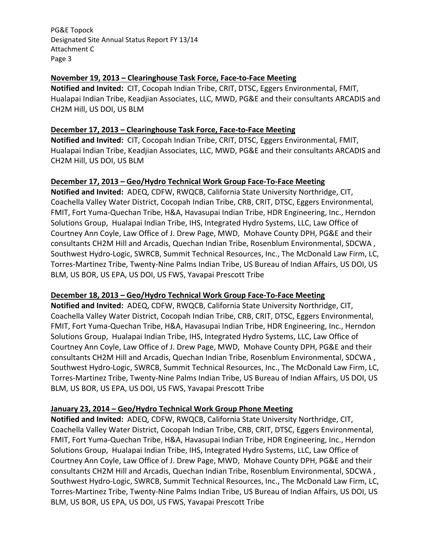### **November 19, 2013 – Clearinghouse Task Force, Face‐to‐Face Meeting**

 **Notified and Invited:** CIT, Cocopah Indian Tribe, CRIT, DTSC, Eggers Environmental, FMIT, Hualapai Indian Tribe, Keadjian Associates, LLC, MWD, PG&E and their consultants ARCADIS and CH2M Hill, US DOI, US BLM

## **December 17, 2013 – Clearinghouse Task Force, Face‐to‐Face Meeting**

 **Notified and Invited:** CIT, Cocopah Indian Tribe, CRIT, DTSC, Eggers Environmental, FMIT, Hualapai Indian Tribe, Keadjian Associates, LLC, MWD, PG&E and their consultants ARCADIS and CH2M Hill, US DOI, US BLM

### **December 17, 2013 – Geo/Hydro Technical Work Group Face‐To‐Face Meeting**

 **Notified and Invited:** ADEQ, CDFW, RWQCB, California State University Northridge, CIT, Coachella Valley Water District, Cocopah Indian Tribe, CRB, CRIT, DTSC, Eggers Environmental, FMIT, Fort Yuma‐Quechan Tribe, H&A, Havasupai Indian Tribe, HDR Engineering, Inc., Herndon Solutions Group, Hualapai Indian Tribe, IHS, Integrated Hydro Systems, LLC, Law Office of Courtney Ann Coyle, Law Office of J. Drew Page, MWD, Mohave County DPH, PG&E and their consultants CH2M Hill and Arcadis, Quechan Indian Tribe, Rosenblum Environmental, SDCWA , Southwest Hydro‐Logic, SWRCB, Summit Technical Resources, Inc., The McDonald Law Firm, LC, Torres‐Martinez Tribe, Twenty‐Nine Palms Indian Tribe, US Bureau of Indian Affairs, US DOI, US BLM, US BOR, US EPA, US DOI, US FWS, Yavapai Prescott Tribe

#### **December 18, 2013 – Geo/Hydro Technical Work Group Face‐To‐Face Meeting**

 **Notified and Invited:** ADEQ, CDFW, RWQCB, California State University Northridge, CIT, Coachella Valley Water District, Cocopah Indian Tribe, CRB, CRIT, DTSC, Eggers Environmental, FMIT, Fort Yuma‐Quechan Tribe, H&A, Havasupai Indian Tribe, HDR Engineering, Inc., Herndon Solutions Group, Hualapai Indian Tribe, IHS, Integrated Hydro Systems, LLC, Law Office of Courtney Ann Coyle, Law Office of J. Drew Page, MWD, Mohave County DPH, PG&E and their consultants CH2M Hill and Arcadis, Quechan Indian Tribe, Rosenblum Environmental, SDCWA , Southwest Hydro‐Logic, SWRCB, Summit Technical Resources, Inc., The McDonald Law Firm, LC, Torres‐Martinez Tribe, Twenty‐Nine Palms Indian Tribe, US Bureau of Indian Affairs, US DOI, US BLM, US BOR, US EPA, US DOI, US FWS, Yavapai Prescott Tribe

## **January 23, 2014 – Geo/Hydro Technical Work Group Phone Meeting**

 **Notified and Invited:** ADEQ, CDFW, RWQCB, California State University Northridge, CIT, Coachella Valley Water District, Cocopah Indian Tribe, CRB, CRIT, DTSC, Eggers Environmental, FMIT, Fort Yuma‐Quechan Tribe, H&A, Havasupai Indian Tribe, HDR Engineering, Inc., Herndon Solutions Group, Hualapai Indian Tribe, IHS, Integrated Hydro Systems, LLC, Law Office of Courtney Ann Coyle, Law Office of J. Drew Page, MWD, Mohave County DPH, PG&E and their consultants CH2M Hill and Arcadis, Quechan Indian Tribe, Rosenblum Environmental, SDCWA , Southwest Hydro‐Logic, SWRCB, Summit Technical Resources, Inc., The McDonald Law Firm, LC, Torres‐Martinez Tribe, Twenty‐Nine Palms Indian Tribe, US Bureau of Indian Affairs, US DOI, US BLM, US BOR, US EPA, US DOI, US FWS, Yavapai Prescott Tribe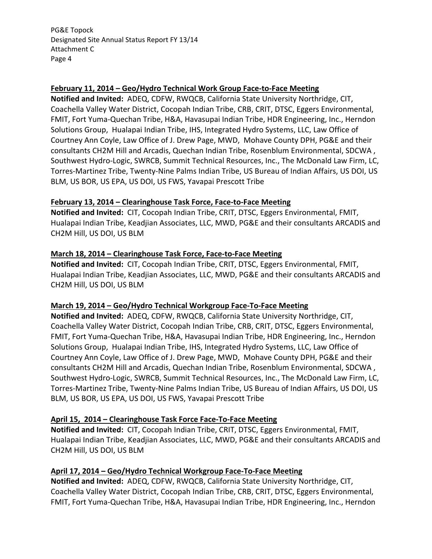## **February 11, 2014 – Geo/Hydro Technical Work Group Face‐to‐Face Meeting**

 **Notified and Invited:** ADEQ, CDFW, RWQCB, California State University Northridge, CIT, Coachella Valley Water District, Cocopah Indian Tribe, CRB, CRIT, DTSC, Eggers Environmental, FMIT, Fort Yuma‐Quechan Tribe, H&A, Havasupai Indian Tribe, HDR Engineering, Inc., Herndon Solutions Group, Hualapai Indian Tribe, IHS, Integrated Hydro Systems, LLC, Law Office of Courtney Ann Coyle, Law Office of J. Drew Page, MWD, Mohave County DPH, PG&E and their consultants CH2M Hill and Arcadis, Quechan Indian Tribe, Rosenblum Environmental, SDCWA , Southwest Hydro‐Logic, SWRCB, Summit Technical Resources, Inc., The McDonald Law Firm, LC, Torres‐Martinez Tribe, Twenty‐Nine Palms Indian Tribe, US Bureau of Indian Affairs, US DOI, US BLM, US BOR, US EPA, US DOI, US FWS, Yavapai Prescott Tribe

## **February 13, 2014 – Clearinghouse Task Force, Face‐to‐Face Meeting**

 **Notified and Invited:** CIT, Cocopah Indian Tribe, CRIT, DTSC, Eggers Environmental, FMIT, Hualapai Indian Tribe, Keadjian Associates, LLC, MWD, PG&E and their consultants ARCADIS and CH2M Hill, US DOI, US BLM

### **March 18, 2014 – Clearinghouse Task Force, Face‐to‐Face Meeting**

 **Notified and Invited:** CIT, Cocopah Indian Tribe, CRIT, DTSC, Eggers Environmental, FMIT, Hualapai Indian Tribe, Keadjian Associates, LLC, MWD, PG&E and their consultants ARCADIS and CH2M Hill, US DOI, US BLM

## **March 19, 2014 – Geo/Hydro Technical Workgroup Face‐To‐Face Meeting**

 **Notified and Invited:** ADEQ, CDFW, RWQCB, California State University Northridge, CIT, Coachella Valley Water District, Cocopah Indian Tribe, CRB, CRIT, DTSC, Eggers Environmental, FMIT, Fort Yuma‐Quechan Tribe, H&A, Havasupai Indian Tribe, HDR Engineering, Inc., Herndon Solutions Group, Hualapai Indian Tribe, IHS, Integrated Hydro Systems, LLC, Law Office of Courtney Ann Coyle, Law Office of J. Drew Page, MWD, Mohave County DPH, PG&E and their consultants CH2M Hill and Arcadis, Quechan Indian Tribe, Rosenblum Environmental, SDCWA , Southwest Hydro‐Logic, SWRCB, Summit Technical Resources, Inc., The McDonald Law Firm, LC, Torres‐Martinez Tribe, Twenty‐Nine Palms Indian Tribe, US Bureau of Indian Affairs, US DOI, US BLM, US BOR, US EPA, US DOI, US FWS, Yavapai Prescott Tribe

## **April 15, 2014 – Clearinghouse Task Force Face‐To‐Face Meeting**

 **Notified and Invited:** CIT, Cocopah Indian Tribe, CRIT, DTSC, Eggers Environmental, FMIT, Hualapai Indian Tribe, Keadjian Associates, LLC, MWD, PG&E and their consultants ARCADIS and CH2M Hill, US DOI, US BLM

## **April 17, 2014 – Geo/Hydro Technical Workgroup Face‐To‐Face Meeting**

 **Notified and Invited:** ADEQ, CDFW, RWQCB, California State University Northridge, CIT, Coachella Valley Water District, Cocopah Indian Tribe, CRB, CRIT, DTSC, Eggers Environmental, FMIT, Fort Yuma‐Quechan Tribe, H&A, Havasupai Indian Tribe, HDR Engineering, Inc., Herndon